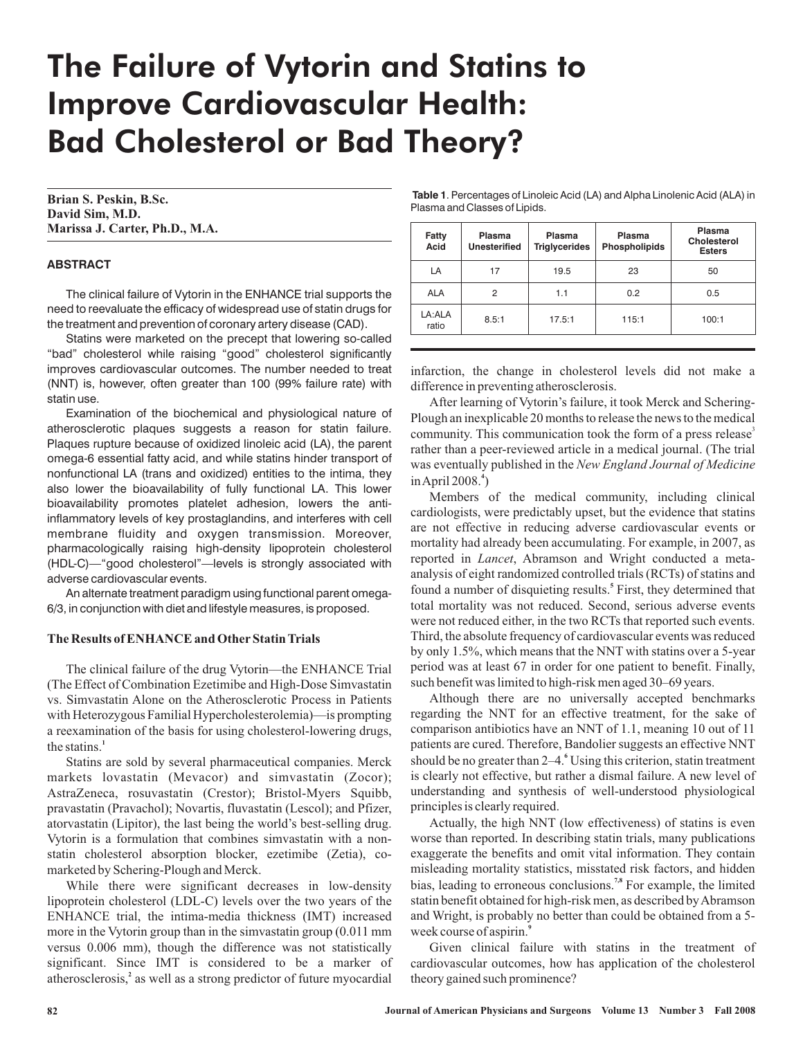# The Failure of Vytorin and Statins to Improve Cardiovascular Health: Bad Cholesterol or Bad Theory?

**Brian S. Peskin, B.Sc. David Sim, M.D. Marissa J. Carter, Ph.D., M.A.**

## **ABSTRACT**

The clinical failure of Vytorin in the ENHANCE trial supports the need to reevaluate the efficacy of widespread use of statin drugs for the treatment and prevention of coronary artery disease (CAD).

Statins were marketed on the precept that lowering so-called "bad" cholesterol while raising "good" cholesterol significantly improves cardiovascular outcomes. The number needed to treat (NNT) is, however, often greater than 100 (99% failure rate) with statin use.

Examination of the biochemical and physiological nature of atherosclerotic plaques suggests a reason for statin failure. Plaques rupture because of oxidized linoleic acid (LA), the parent omega-6 essential fatty acid, and while statins hinder transport of nonfunctional LA (trans and oxidized) entities to the intima, they also lower the bioavailability of fully functional LA. This lower bioavailability promotes platelet adhesion, lowers the antiinflammatory levels of key prostaglandins, and interferes with cell membrane fluidity and oxygen transmission. Moreover, pharmacologically raising high-density lipoprotein cholesterol (HDL-C)—"good cholesterol"—levels is strongly associated with adverse cardiovascular events.

An alternate treatment paradigm using functional parent omega-6/3, in conjunction with diet and lifestyle measures, is proposed.

#### **The Results of ENHANCE and Other Statin Trials**

The clinical failure of the drug Vytorin—the ENHANCE Trial (The Effect of Combination Ezetimibe and High-Dose Simvastatin vs. Simvastatin Alone on the Atherosclerotic Process in Patients with Heterozygous Familial Hypercholesterolemia)—is prompting a reexamination of the basis for using cholesterol-lowering drugs, the statins. **1**

Statins are sold by several pharmaceutical companies. Merck markets lovastatin (Mevacor) and simvastatin (Zocor); AstraZeneca, rosuvastatin (Crestor); Bristol-Myers Squibb, pravastatin (Pravachol); Novartis, fluvastatin (Lescol); and Pfizer, atorvastatin (Lipitor), the last being the world's best-selling drug. Vytorin is a formulation that combines simvastatin with a nonstatin cholesterol absorption blocker, ezetimibe (Zetia), comarketed by Schering-Plough and Merck.

While there were significant decreases in low-density lipoprotein cholesterol (LDL-C) levels over the two years of the ENHANCE trial, the intima-media thickness (IMT) increased more in the Vytorin group than in the simvastatin group (0.011 mm versus 0.006 mm), though the difference was not statistically significant. Since IMT is considered to be a marker of atherosclerosis,<sup>2</sup> as well as a strong predictor of future myocardial

**Table 1**. Percentages of Linoleic Acid (LA) and Alpha Linolenic Acid (ALA) in Plasma and Classes of Lipids.

| <b>Fatty</b><br>Acid | Plasma<br><b>Unesterified</b> | Plasma<br><b>Triglycerides</b> | Plasma<br><b>Phospholipids</b> | Plasma<br>Cholesterol<br><b>Esters</b> |
|----------------------|-------------------------------|--------------------------------|--------------------------------|----------------------------------------|
| LA                   | 17                            | 19.5                           | 23                             | 50                                     |
| <b>ALA</b>           | 2                             | 1.1                            | 0.2                            | 0.5                                    |
| LA:ALA<br>ratio      | 8.5:1                         | 17.5:1                         | 115:1                          | 100:1                                  |

infarction, the change in cholesterol levels did not make a difference in preventing atherosclerosis.

After learning of Vytorin's failure, it took Merck and Schering-Plough an inexplicable 20 months to release the news to the medical community. This communication took the form of a press release<sup>3</sup> rather than a peer-reviewed article in a medical journal. (The trial was eventually published in the *New England Journal of Medicine* inApril 2008. ) **4**

Members of the medical community, including clinical cardiologists, were predictably upset, but the evidence that statins are not effective in reducing adverse cardiovascular events or mortality had already been accumulating. For example, in 2007, as reported in *Lancet*, Abramson and Wright conducted a metaanalysis of eight randomized controlled trials (RCTs) of statins and found a number of disquieting results.<sup>5</sup> First, they determined that total mortality was not reduced. Second, serious adverse events were not reduced either, in the two RCTs that reported such events. Third, the absolute frequency of cardiovascular events was reduced by only 1.5%, which means that the NNT with statins over a 5-year period was at least 67 in order for one patient to benefit. Finally, such benefit was limited to high-risk men aged 30–69 years.

Although there are no universally accepted benchmarks regarding the NNT for an effective treatment, for the sake of comparison antibiotics have an NNT of 1.1, meaning 10 out of 11 patients are cured. Therefore, Bandolier suggests an effective NNT should be no greater than 2–4.<sup>6</sup> Using this criterion, statin treatment is clearly not effective, but rather a dismal failure. A new level of understanding and synthesis of well-understood physiological principles is clearly required.

Actually, the high NNT (low effectiveness) of statins is even worse than reported. In describing statin trials, many publications exaggerate the benefits and omit vital information. They contain misleading mortality statistics, misstated risk factors, and hidden bias, leading to erroneous conclusions.<sup>7,8</sup> For example, the limited statin benefit obtained for high-risk men, as described byAbramson and Wright, is probably no better than could be obtained from a 5 week course of aspirin. **9**

Given clinical failure with statins in the treatment of cardiovascular outcomes, how has application of the cholesterol theory gained such prominence?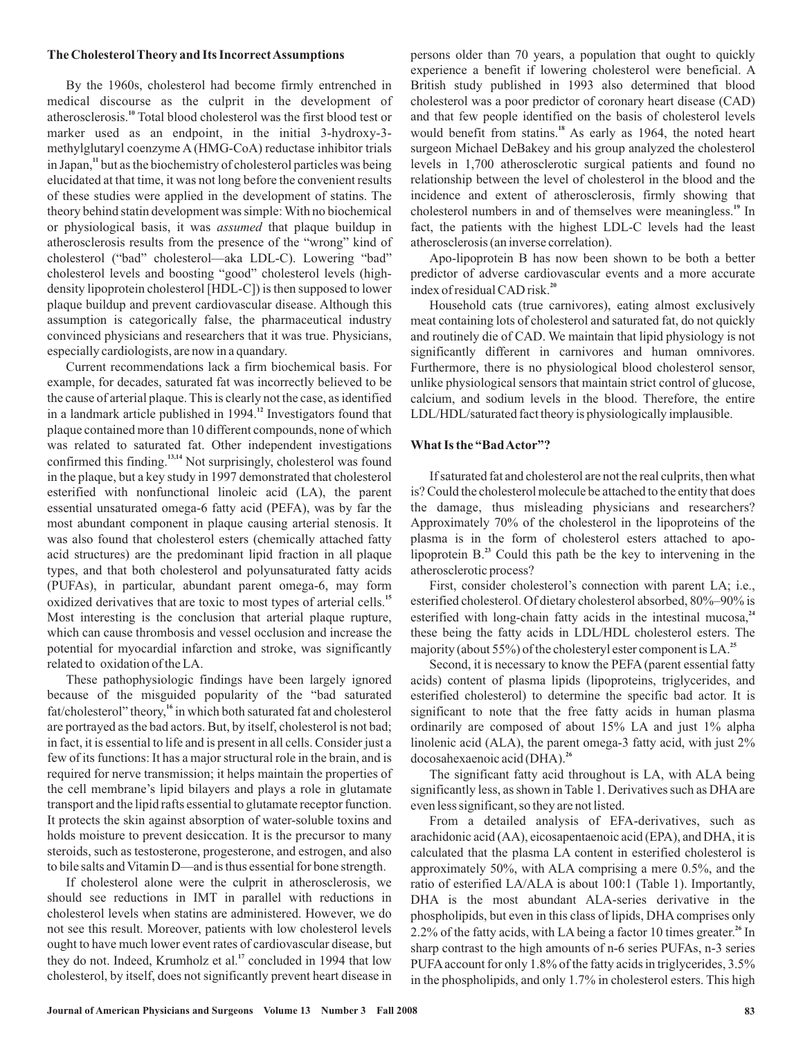#### **The Cholesterol Theory and Its IncorrectAssumptions**

By the 1960s, cholesterol had become firmly entrenched in medical discourse as the culprit in the development of atherosclerosis.<sup>10</sup> Total blood cholesterol was the first blood test or marker used as an endpoint, in the initial 3-hydroxy-3 methylglutaryl coenzyme A (HMG-CoA) reductase inhibitor trials in Japan,<sup>11</sup> but as the biochemistry of cholesterol particles was being elucidated at that time, it was not long before the convenient results of these studies were applied in the development of statins. The theory behind statin development was simple: With no biochemical or physiological basis, it was *assumed* that plaque buildup in atherosclerosis results from the presence of the "wrong" kind of cholesterol ("bad" cholesterol—aka LDL-C). Lowering "bad" cholesterol levels and boosting "good" cholesterol levels (highdensity lipoprotein cholesterol [HDL-C]) is then supposed to lower plaque buildup and prevent cardiovascular disease. Although this assumption is categorically false, the pharmaceutical industry convinced physicians and researchers that it was true. Physicians, especially cardiologists, are now in a quandary.

Current recommendations lack a firm biochemical basis. For example, for decades, saturated fat was incorrectly believed to be the cause of arterial plaque. This is clearly not the case, as identified in a landmark article published in 1994.<sup>12</sup> Investigators found that plaque contained more than 10 different compounds, none of which was related to saturated fat. Other independent investigations confirmed this finding.<sup>13,14</sup> Not surprisingly, cholesterol was found in the plaque, but a key study in 1997 demonstrated that cholesterol esterified with nonfunctional linoleic acid (LA), the parent essential unsaturated omega-6 fatty acid (PEFA), was by far the most abundant component in plaque causing arterial stenosis. It was also found that cholesterol esters (chemically attached fatty acid structures) are the predominant lipid fraction in all plaque types, and that both cholesterol and polyunsaturated fatty acids (PUFAs), in particular, abundant parent omega-6, may form oxidized derivatives that are toxic to most types of arterial cells. **15** Most interesting is the conclusion that arterial plaque rupture, which can cause thrombosis and vessel occlusion and increase the potential for myocardial infarction and stroke, was significantly related to oxidation of the LA.

These pathophysiologic findings have been largely ignored because of the misguided popularity of the "bad saturated fat/cholesterol" theory,<sup>16</sup> in which both saturated fat and cholesterol are portrayed as the bad actors. But, by itself, cholesterol is not bad; in fact, it is essential to life and is present in all cells. Consider just a few of its functions: It has a major structural role in the brain, and is required for nerve transmission; it helps maintain the properties of the cell membrane's lipid bilayers and plays a role in glutamate transport and the lipid rafts essential to glutamate receptor function. It protects the skin against absorption of water-soluble toxins and holds moisture to prevent desiccation. It is the precursor to many steroids, such as testosterone, progesterone, and estrogen, and also to bile salts and Vitamin D—and is thus essential for bone strength.

If cholesterol alone were the culprit in atherosclerosis, we should see reductions in IMT in parallel with reductions in cholesterol levels when statins are administered. However, we do not see this result. Moreover, patients with low cholesterol levels ought to have much lower event rates of cardiovascular disease, but they do not. Indeed, Krumholz et al.<sup>17</sup> concluded in 1994 that low cholesterol, by itself, does not significantly prevent heart disease in persons older than 70 years, a population that ought to quickly experience a benefit if lowering cholesterol were beneficial. A British study published in 1993 also determined that blood cholesterol was a poor predictor of coronary heart disease (CAD) and that few people identified on the basis of cholesterol levels would benefit from statins.<sup>18</sup> As early as 1964, the noted heart surgeon Michael DeBakey and his group analyzed the cholesterol levels in 1,700 atherosclerotic surgical patients and found no relationship between the level of cholesterol in the blood and the incidence and extent of atherosclerosis, firmly showing that cholesterol numbers in and of themselves were meaningless.<sup>19</sup> In fact, the patients with the highest LDL-C levels had the least atherosclerosis (an inverse correlation).

Apo-lipoprotein B has now been shown to be both a better predictor of adverse cardiovascular events and a more accurate index of residual CAD risk. **20**

Household cats (true carnivores), eating almost exclusively meat containing lots of cholesterol and saturated fat, do not quickly and routinely die of CAD. We maintain that lipid physiology is not significantly different in carnivores and human omnivores. Furthermore, there is no physiological blood cholesterol sensor, unlike physiological sensors that maintain strict control of glucose, calcium, and sodium levels in the blood. Therefore, the entire LDL/HDL/saturated fact theory is physiologically implausible.

### **What Is the "BadActor"?**

If saturated fat and cholesterol are not the real culprits, then what is? Could the cholesterol molecule be attached to the entity that does the damage, thus misleading physicians and researchers? Approximately 70% of the cholesterol in the lipoproteins of the plasma is in the form of cholesterol esters attached to apolipoprotein  $B^{23}$  Could this path be the key to intervening in the atherosclerotic process?

First, consider cholesterol's connection with parent LA; i.e., esterified cholesterol. Of dietary cholesterol absorbed, 80%–90% is esterified with long-chain fatty acids in the intestinal mucosa,<sup>24</sup> these being the fatty acids in LDL/HDL cholesterol esters. The majority (about 55%) of the cholesteryl ester component is LA. **25**

Second, it is necessary to know the PEFA (parent essential fatty acids) content of plasma lipids (lipoproteins, triglycerides, and esterified cholesterol) to determine the specific bad actor. It is significant to note that the free fatty acids in human plasma ordinarily are composed of about 15% LA and just 1% alpha linolenic acid (ALA), the parent omega-3 fatty acid, with just 2% docosahexaenoic acid (DHA). **26**

The significant fatty acid throughout is LA, with ALA being significantly less, as shown in Table 1. Derivatives such as DHA are even less significant, so they are not listed.

From a detailed analysis of EFA-derivatives, such as arachidonic acid (AA), eicosapentaenoic acid (EPA), and DHA, it is calculated that the plasma LA content in esterified cholesterol is approximately 50%, with ALA comprising a mere 0.5%, and the ratio of esterified LA/ALA is about 100:1 (Table 1). Importantly, DHA is the most abundant ALA-series derivative in the phospholipids, but even in this class of lipids, DHA comprises only 2.2% of the fatty acids, with LA being a factor 10 times greater.<sup>26</sup> In sharp contrast to the high amounts of n-6 series PUFAs, n-3 series PUFA account for only 1.8% of the fatty acids in triglycerides, 3.5% in the phospholipids, and only 1.7% in cholesterol esters. This high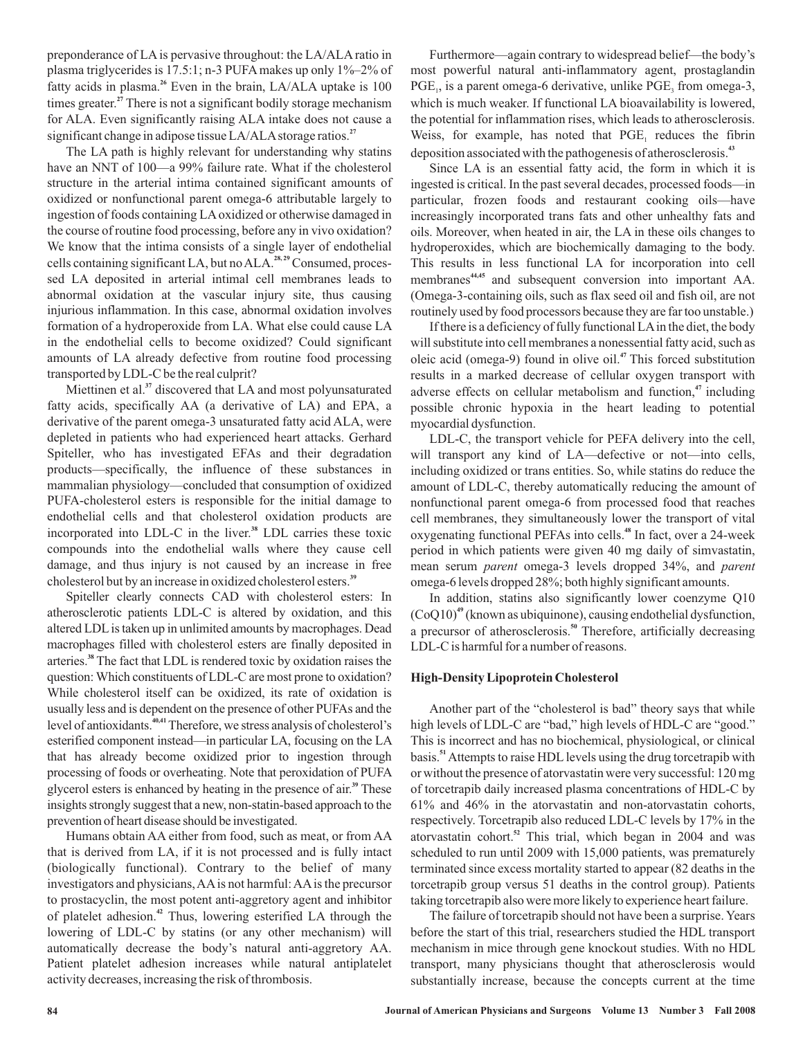preponderance of LA is pervasive throughout: the LA/ALA ratio in plasma triglycerides is 17.5:1; n-3 PUFA makes up only 1%–2% of fatty acids in plasma.<sup>26</sup> Even in the brain, LA/ALA uptake is 100 times greater.<sup>27</sup> There is not a significant bodily storage mechanism for ALA. Even significantly raising ALA intake does not cause a significant change in adipose tissue LA/ALAstorage ratios. **27**

The LA path is highly relevant for understanding why statins have an NNT of 100—a 99% failure rate. What if the cholesterol structure in the arterial intima contained significant amounts of oxidized or nonfunctional parent omega-6 attributable largely to ingestion of foods containing LA oxidized or otherwise damaged in the course of routine food processing, before any in vivo oxidation? We know that the intima consists of a single layer of endothelial cells containing significant LA, but no ALA.<sup>28, 29</sup> Consumed, processed LA deposited in arterial intimal cell membranes leads to abnormal oxidation at the vascular injury site, thus causing injurious inflammation. In this case, abnormal oxidation involves formation of a hydroperoxide from LA. What else could cause LA in the endothelial cells to become oxidized? Could significant amounts of LA already defective from routine food processing transported by LDL-C be the real culprit?

Miettinen et al.<sup>37</sup> discovered that LA and most polyunsaturated fatty acids, specifically AA (a derivative of LA) and EPA, a derivative of the parent omega-3 unsaturated fatty acid ALA, were depleted in patients who had experienced heart attacks. Gerhard Spiteller, who has investigated EFAs and their degradation products—specifically, the influence of these substances in mammalian physiology—concluded that consumption of oxidized PUFA-cholesterol esters is responsible for the initial damage to endothelial cells and that cholesterol oxidation products are incorporated into LDL-C in the liver.<sup>38</sup> LDL carries these toxic compounds into the endothelial walls where they cause cell damage, and thus injury is not caused by an increase in free cholesterol but by an increase in oxidized cholesterol esters. **39**

Spiteller clearly connects CAD with cholesterol esters: In atherosclerotic patients LDL-C is altered by oxidation, and this altered LDLis taken up in unlimited amounts by macrophages. Dead macrophages filled with cholesterol esters are finally deposited in arteries.<sup>38</sup> The fact that LDL is rendered toxic by oxidation raises the question:Which constituents of LDL-C are most prone to oxidation? While cholesterol itself can be oxidized, its rate of oxidation is usually less and is dependent on the presence of other PUFAs and the level of antioxidants.<sup>40,41</sup> Therefore, we stress analysis of cholesterol's esterified component instead—in particular LA, focusing on the LA that has already become oxidized prior to ingestion through processing of foods or overheating. Note that peroxidation of PUFA glycerol esters is enhanced by heating in the presence of air.<sup>39</sup> These insights strongly suggest that a new, non-statin-based approach to the prevention of heart disease should be investigated.

Humans obtain AA either from food, such as meat, or from AA that is derived from LA, if it is not processed and is fully intact (biologically functional). Contrary to the belief of many investigators and physicians,AAis not harmful:AAis the precursor to prostacyclin, the most potent anti-aggretory agent and inhibitor of platelet adhesion.<sup>42</sup> Thus, lowering esterified LA through the lowering of LDL-C by statins (or any other mechanism) will automatically decrease the body's natural anti-aggretory AA. Patient platelet adhesion increases while natural antiplatelet activity decreases, increasing the risk of thrombosis.

Furthermore—again contrary to widespread belief—the body's most powerful natural anti-inflammatory agent, prostaglandin  $PGE<sub>1</sub>$ , is a parent omega-6 derivative, unlike  $PGE<sub>3</sub>$  from omega-3, which is much weaker. If functional LA bioavailability is lowered, the potential for inflammation rises, which leads to atherosclerosis. Weiss, for example, has noted that  $PGE$  reduces the fibrin deposition associated with the pathogenesis of atherosclerosis. **43**

Since LA is an essential fatty acid, the form in which it is ingested is critical. In the past several decades, processed foods—in particular, frozen foods and restaurant cooking oils—have increasingly incorporated trans fats and other unhealthy fats and oils. Moreover, when heated in air, the LA in these oils changes to hydroperoxides, which are biochemically damaging to the body. This results in less functional LA for incorporation into cell membranes<sup>44,45</sup> and subsequent conversion into important AA. (Omega-3-containing oils, such as flax seed oil and fish oil, are not routinely used by food processors because they are far too unstable.)

If there is a deficiency of fully functional LAin the diet, the body will substitute into cell membranes a nonessential fatty acid, such as oleic acid (omega-9) found in olive oil.<sup>47</sup> This forced substitution results in a marked decrease of cellular oxygen transport with adverse effects on cellular metabolism and function,<sup>47</sup> including possible chronic hypoxia in the heart leading to potential myocardial dysfunction.

LDL-C, the transport vehicle for PEFA delivery into the cell, will transport any kind of LA—defective or not—into cells, including oxidized or trans entities. So, while statins do reduce the amount of LDL-C, thereby automatically reducing the amount of nonfunctional parent omega-6 from processed food that reaches cell membranes, they simultaneously lower the transport of vital oxygenating functional PEFAs into cells.<sup>48</sup> In fact, over a 24-week period in which patients were given 40 mg daily of simvastatin, mean serum *parent* omega-3 levels dropped 34%, and *parent* omega-6 levels dropped 28%; both highly significant amounts.

In addition, statins also significantly lower coenzyme Q10  $(CoQ10)^{49}$  (known as ubiquinone), causing endothelial dysfunction, a precursor of atherosclerosis.<sup>50</sup> Therefore, artificially decreasing LDL-C is harmful for a number of reasons.

# **High-Density Lipoprotein Cholesterol**

Another part of the "cholesterol is bad" theory says that while high levels of LDL-C are "bad," high levels of HDL-C are "good." This is incorrect and has no biochemical, physiological, or clinical basis.<sup>51</sup> Attempts to raise HDL levels using the drug torcetrapib with or without the presence of atorvastatin were very successful: 120 mg of torcetrapib daily increased plasma concentrations of HDL-C by 61% and 46% in the atorvastatin and non-atorvastatin cohorts, respectively. Torcetrapib also reduced LDL-C levels by 17% in the atorvastatin cohort.<sup>52</sup> This trial, which began in 2004 and was scheduled to run until 2009 with 15,000 patients, was prematurely terminated since excess mortality started to appear (82 deaths in the torcetrapib group versus 51 deaths in the control group). Patients taking torcetrapib also were more likely to experience heart failure.

The failure of torcetrapib should not have been a surprise. Years before the start of this trial, researchers studied the HDL transport mechanism in mice through gene knockout studies. With no HDL transport, many physicians thought that atherosclerosis would substantially increase, because the concepts current at the time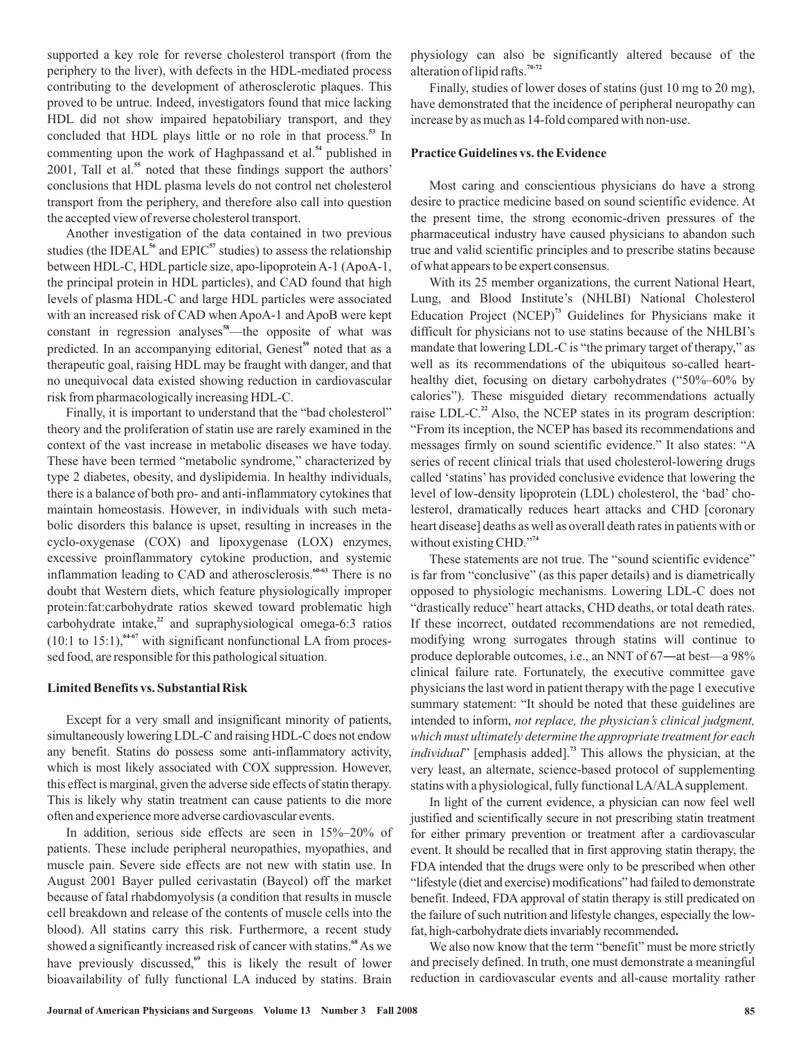supported a key role for reverse cholesterol transport (from the periphery to the liver), with defects in the HDL-mediated process contributing to the development of atherosclerotic plaques. This proved to be untrue. Indeed, investigators found that mice lacking HDL did not show impaired hepatobiliary transport, and they concluded that HDL plays little or no role in that process.<sup>53</sup> In commenting upon the work of Haghpassand et al.<sup>54</sup> published in 2001, Tall et al.<sup>55</sup> noted that these findings support the authors' conclusions that HDL plasma levels do not control net cholesterol transport from the periphery, and therefore also call into question the accepted view of reverse cholesterol transport.

Another investigation of the data contained in two previous studies (the IDEAL<sup>56</sup> and EPIC<sup>57</sup> studies) to assess the relationship between HDL-C, HDL particle size, apo-lipoprotein A-1 (ApoA-1, the principal protein in HDL particles), and CAD found that high levels of plasma HDL-C and large HDL particles were associated with an increased risk of CAD when ApoA-1 and ApoB were kept constant in regression analyses<sup>58</sup>—the opposite of what was predicted. In an accompanying editorial, Genest<sup>59</sup> noted that as a therapeutic goal, raising HDL may be fraught with danger, and that no unequivocal data existed showing reduction in cardiovascular risk from pharmacologically increasing HDL-C.

Finally, it is important to understand that the "bad cholesterol" theory and the proliferation of statin use are rarely examined in the context of the vast increase in metabolic diseases we have today. These have been termed "metabolic syndrome," characterized by type 2 diabetes, obesity, and dyslipidemia. In healthy individuals, there is a balance of both pro- and anti-inflammatory cytokines that maintain homeostasis. However, in individuals with such metabolic disorders this balance is upset, resulting in increases in the cyclo-oxygenase (COX) and lipoxygenase (LOX) enzymes, excessive proinflammatory cytokine production, and systemic inflammation leading to CAD and atherosclerosis.<sup>60-63</sup> There is no doubt that Western diets, which feature physiologically improper protein:fat:carbohydrate ratios skewed toward problematic high carbohydrate intake,<sup>22</sup> and supraphysiological omega-6:3 ratios  $(10:1 \text{ to } 15:1)$ ,  $^{4-67}$  with significant nonfunctional LA from processed food, are responsible for this pathological situation.

#### **Limited Benefits vs. Substantial Risk**

Except for a very small and insignificant minority of patients, simultaneously lowering LDL-C and raising HDL-C does not endow any benefit. Statins do possess some anti-inflammatory activity, which is most likely associated with COX suppression. However, this effect is marginal, given the adverse side effects of statin therapy. This is likely why statin treatment can cause patients to die more often and experience more adverse cardiovascular events.

In addition, serious side effects are seen in 15%–20% of patients. These include peripheral neuropathies, myopathies, and muscle pain. Severe side effects are not new with statin use. In August 2001 Bayer pulled cerivastatin (Baycol) off the market because of fatal rhabdomyolysis (a condition that results in muscle cell breakdown and release of the contents of muscle cells into the blood). All statins carry this risk. Furthermore, a recent study showed a significantly increased risk of cancer with statins.<sup>68</sup> As we have previously discussed,<sup>69</sup> this is likely the result of lower bioavailability of fully functional LA induced by statins. Brain physiology can also be significantly altered because of the alteration of lipid rafts. **70-72**

Finally, studies of lower doses of statins (just 10 mg to 20 mg), have demonstrated that the incidence of peripheral neuropathy can increase by as much as 14-fold compared with non-use.

## **Practice Guidelines vs. the Evidence**

Most caring and conscientious physicians do have a strong desire to practice medicine based on sound scientific evidence. At the present time, the strong economic-driven pressures of the pharmaceutical industry have caused physicians to abandon such true and valid scientific principles and to prescribe statins because of what appears to be expert consensus.

With its 25 member organizations, the current National Heart, Lung, and Blood Institute's (NHLBI) National Cholesterol Education Project (NCEP)<sup>73</sup> Guidelines for Physicians make it difficult for physicians not to use statins because of the NHLBI's mandate that lowering LDL-C is "the primary target of therapy," as well as its recommendations of the ubiquitous so-called hearthealthy diet, focusing on dietary carbohydrates ("50%–60% by calories"). These misguided dietary recommendations actually raise LDL-C.<sup>22</sup> Also, the NCEP states in its program description: "From its inception, the NCEP has based its recommendations and messages firmly on sound scientific evidence." It also states: "A series of recent clinical trials that used cholesterol-lowering drugs called 'statins' has provided conclusive evidence that lowering the level of low-density lipoprotein (LDL) cholesterol, the 'bad' cholesterol, dramatically reduces heart attacks and CHD [coronary heart disease] deaths as well as overall death rates in patients with or without existing CHD." **74**

These statements are not true. The "sound scientific evidence" is far from "conclusive" (as this paper details) and is diametrically opposed to physiologic mechanisms. Lowering LDL-C does not "drastically reduce" heart attacks, CHD deaths, or total death rates. If these incorrect, outdated recommendations are not remedied, modify ing wrong surrogates through statins will continue to clinical failure rate. Fortunately, the executive committee gave physicians the last word in patient therapy with the page 1 executive summary statement: "It should be noted that these guidelines are intended to inform, *not replace, the physician's clinical judgment, individual*" [emphasis added].<sup>73</sup> This allows the physician, at the very least, an alternate, science-based protocol of supplementing statins with a physiological, fully functional LA/ALAsupplement. produce deplorable outcomes, i.e., an NNT of 67―at best—a 98% *which must ultimately determine the appropriate treatment for each*

In light of the current evidence, a physician can now feel well justified and scientifically secure in not prescribing statin treatment for either primary prevention or treatment after a cardiovascular event. It should be recalled that in first approving statin therapy, the FDA intended that the drugs were only to be prescribed when other "lifestyle (diet and exercise) modifications" had failed to demonstrate benefit. Indeed, FDA approval of statin therapy is still predicated on the failure of such nutrition and lifestyle changes, especially the lowfat, high-carbohydrate diets invariably recommended **.**

We also now know that the term "benefit" must be more strictly and precisely defined. In truth, one must demonstrate a meaningful reduction in cardiovascular events and all-cause mortality rather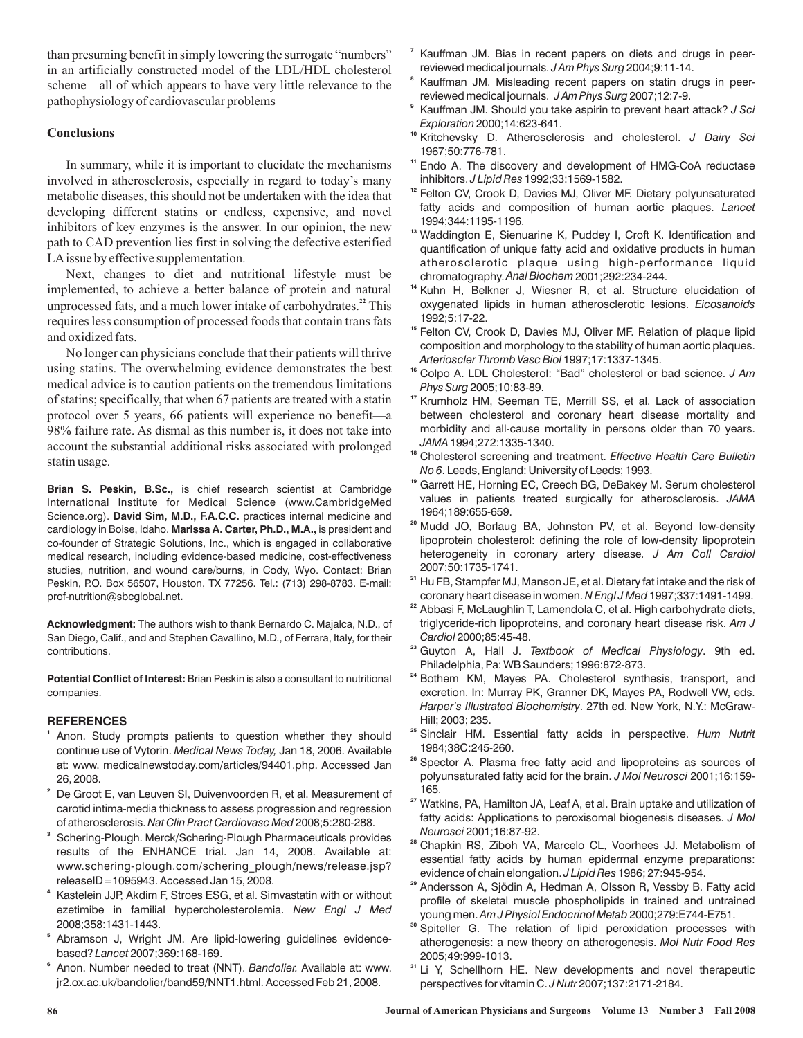than presuming benefit in simply lowering the surrogate "numbers" in an artificially constructed model of the LDL/HDL cholesterol scheme—all of which appears to have very little relevance to the pathophysiology of cardiovascular problems

## **Conclusions**

In summary, while it is important to elucidate the mechanisms involved in atherosclerosis, especially in regard to today's many metabolic diseases, this should not be undertaken with the idea that developing different statins or endless, expensive, and novel inhibitors of key enzymes is the answer. In our opinion, the new path to CAD prevention lies first in solving the defective esterified LAissue by effective supplementation.

Next, changes to diet and nutritional lifestyle must be implemented, to achieve a better balance of protein and natural unprocessed fats, and a much lower intake of carbohydrates.<sup>22</sup> This requires less consumption of processed foods that contain trans fats and oxidized fats.

No longer can physicians conclude that their patients will thrive using statins. The overwhelming evidence demonstrates the best medical advice is to caution patients on the tremendous limitations of statins; specifically, that when 67 patients are treated with a statin protocol over 5 years, 66 patients will experience no benefit—a 98% failure rate. As dismal as this number is, it does not take into account the substantial additional risks associated with prolonged statin usage.

**Brian S. Peskin, B.Sc.,** is chief research scientist at Cambridge Science.org). David Sim, M.D., F.A.C.C. practices internal medicine and cardiology in Boise, Idaho. **Marissa A. Carter, Ph.D., M.A.,** is president and **.** prof-nutrition@sbcglobal.net International Institute for Medical Science (www.CambridgeMed co-founder of Strategic Solutions, Inc., which is engaged in collaborative medical research, including evidence-based medicine, cost-effectiveness studies, nutrition, and wound care/burns, in Cody, Wyo. Contact: Brian Peskin, P.O. Box 56507, Houston, TX 77256. Tel.: (713) 298-8783. E-mail:

**Acknowledgment:** The authors wish to thank Bernardo C. Majalca, N.D., of San Diego, Calif., and and Stephen Cavallino, M.D., of Ferrara, Italy, for their contributions.

**Potential Conflict of Interest:** Brian Peskin is also a consultant to nutritional companies.

## **REFERENCES**

- <sup>1</sup> Anon. Study prompts patients to question whether they should continue use of Vytorin. *Medical News Today,* Jan 18, 2006. Available at: www. medicalnewstoday.com/articles/94401.php. Accessed Jan 26, 2008.
- **2** De Groot E, van Leuven SI, Duivenvoorden R, et al. Measurement of carotid intima-media thickness to assess progression and regression of atherosclerosis. *Nat Clin Pract Cardiovasc Med* 2008;5:280-288.
- **3** Schering-Plough. Merck/Schering-Plough Pharmaceuticals provides results of the ENHANCE trial. Jan 14, 2008. Available at: www.schering-plough.com/schering\_plough/news/release.jsp? releaseID=1095943. Accessed Jan 15, 2008.
- **4** Kastelein JJP, Akdim F, Stroes ESG, et al. Simvastatin with or without ezetimibe in familial hypercholesterolemia. *New Engl J Med* 2008;358:1431-1443.
- **5** Abramson J, Wright JM. Are lipid-lowering guidelines evidencebased? 2007;369:168-169. *Lancet*
- **6** Anon. Number needed to treat (NNT). *Bandolier.* Available at: www. jr2.ox.ac.uk/bandolier/band59/NNT1.html. Accessed Feb 21, 2008.
- **7** Kauffman JM. Bias in recent papers on diets and drugs in peerreviewed medical journals. J Am Phys Surg 2004;9:11-14.
- **8** Kauffman JM. Misleading recent papers on statin drugs in peerreviewed medical journals. JAm Phys Surg 2007;12:7-9.
- **9** Kauffman JM. Should you take aspirin to prevent heart attack? *J Sci* 2000;14:623-641. *Exploration*
- **10** Kritchevsky D. Atherosclerosis and cholesterol. *J Dairy Sci* 1967;50:776-781.
- **11** Endo A. The discovery and development of HMG-CoA reductase inhibitors. 1992;33:1569-1582. *J Lipid Res*
- **12** Felton CV, Crook D, Davies MJ, Oliver MF. Dietary polyunsaturated fatty acids and composition of human aortic plaques. *Lancet* 1994;344:1195-1196.
- **13** Waddington E, Sienuarine K, Puddey I, Croft K. Identification and quantification of unique fatty acid and oxidative products in human atherosclerotic plaque using high-performance liquid chromatography. Anal Biochem 2001;292:234-244.
- **14** Kuhn H, Belkner J, Wiesner R, et al. Structure elucidation of oxygenated lipids in human atherosclerotic lesions. *Eicosanoids* 1992;5:17-22.
- **15** Felton CV, Crook D, Davies MJ, Oliver MF. Relation of plaque lipid composition and morphology to the stability of human aortic plaques. 1997;17:1337-1345. *Arterioscler Thromb Vasc Biol*
- **16** Colpo A. LDL Cholesterol: "Bad" cholesterol or bad science. *J Am* 2005;10:83-89. *Phys Surg*
- **17** Krumholz HM, Seeman TE, Merrill SS, et al. Lack of association between cholesterol and coronary heart disease mortality and morbidity and all-cause mortality in persons older than 70 years. 1994;272:1335-1340. *JAMA*
- **18** Cholesterol screening and treatment. *Effective Health Care Bulletin* . Leeds, England: University of Leeds; 1993. *No 6*
- **19** Garrett HE, Horning EC, Creech BG, DeBakey M. Serum cholesterol values in patients treated surgically for atherosclerosis. *JAMA* 1964;189:655-659.
- **20** Mudd JO, Borlaug BA, Johnston PV, et al. Beyond low-density lipoprotein cholesterol: defining the role of low-density lipoprotein heterogeneity in coronary artery disease *. J Am Coll Cardiol* 2007;50:1735-1741.
- **21** Hu FB, Stampfer MJ, Manson JE, et al. Dietary fat intake and the risk of coronary heart disease in women. N Engl J Med 1997;337:1491-1499.
- **22** Abbasi F, McLaughlin T, Lamendola C, et al. High carbohydrate diets, triglyceride-rich lipoproteins, and coronary heart disease risk. *Am J* 2000;85:45-48. *Cardiol*
- <sup>23</sup> Guyton A, Hall J. *Textbook of Medical Physiology*. 9th ed. Philadelphia, Pa: WB Saunders; 1996:872-873.
- **24** Bothem KM, Mayes PA. Cholesterol synthesis, transport, and excretion. In: Murray PK, Granner DK, Mayes PA, Rodwell VW, eds. Harper's Illustrated Biochemistry. 27th ed. New York, N.Y.: McGraw-Hill; 2003; 235.
- **25** Sinclair HM. Essential fatty acids in perspective. *Hum Nutrit* 1984;38C:245-260.
- **26** Spector A. Plasma free fatty acid and lipoproteins as sources of polyunsaturated fatty acid for the brain. J Mol Neurosci 2001;16:159-165.
- **27** Watkins, PA, Hamilton JA, Leaf A, et al. Brain uptake and utilization of fatty acids: Applications to peroxisomal biogenesis diseases. *J Mol* 2001;16:87-92. *Neurosci*
- **28** Chapkin RS, Ziboh VA, Marcelo CL, Voorhees JJ. Metabolism of essential fatty acids by human epidermal enzyme preparations: evidence of chain elongation. *J Lipid Res* 1986; 27:945-954.
- **29** Andersson A, Sjödin A, Hedman A, Olsson R, Vessby B. Fatty acid profile of skeletal muscle phospholipids in trained and untrained young men. *Am J Physiol Endocrinol Metab* 2000;279:E744-E751.
- **30** Spiteller G. The relation of lipid peroxidation processes with atherogenesis: a new theory on atherogenesis. *Mol Nutr Food Res* 2005;49:999-1013.
- **31** Li Y, Schellhorn HE. New developments and novel therapeutic perspectives for vitamin C. J Nutr 2007;137:2171-2184.